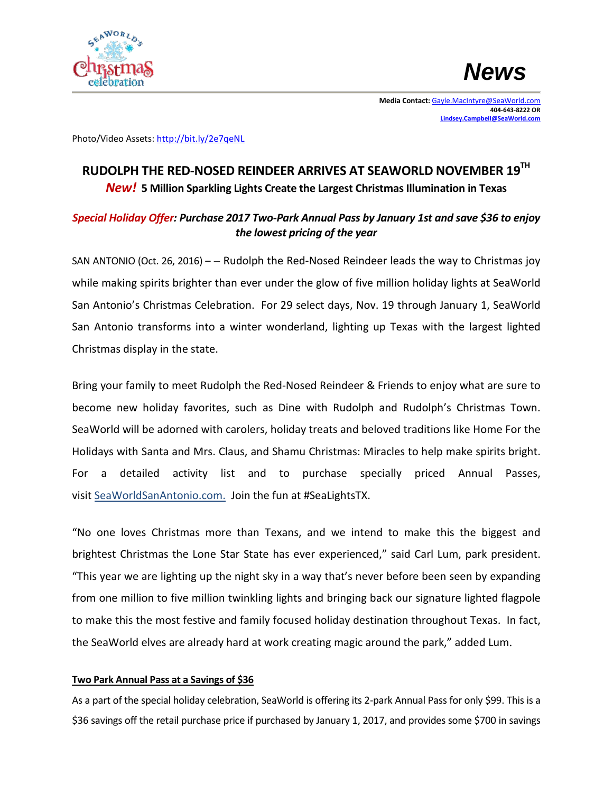



**Media Contact:** [Gayle.MacIntyre@SeaWorld.com](mailto:Gayle.MacIntyre@SeaWorld.com)  **404-643-8222 OR [Lindsey.Campbell@SeaWorld.com](mailto:Lindsey.Campbell@SeaWorld.com)**

Photo/Video Assets[: http://bit.ly/2e7qeNL](http://bit.ly/2e7qeNL)

# **RUDOLPH THE RED-NOSED REINDEER ARRIVES AT SEAWORLD NOVEMBER 19TH** *New!* **5 Million Sparkling Lights Create the Largest Christmas Illumination in Texas**

# *Special Holiday Offer: Purchase 2017 Two-Park Annual Pass by January 1st and save \$36 to enjoy the lowest pricing of the year*

SAN ANTONIO (Oct. 26, 2016) – – Rudolph the Red-Nosed Reindeer leads the way to Christmas joy while making spirits brighter than ever under the glow of five million holiday lights at SeaWorld San Antonio's Christmas Celebration. For 29 select days, Nov. 19 through January 1, SeaWorld San Antonio transforms into a winter wonderland, lighting up Texas with the largest lighted Christmas display in the state.

Bring your family to meet Rudolph the Red-Nosed Reindeer & Friends to enjoy what are sure to become new holiday favorites, such as Dine with Rudolph and Rudolph's Christmas Town. SeaWorld will be adorned with carolers, holiday treats and beloved traditions like Home For the Holidays with Santa and Mrs. Claus, and Shamu Christmas: Miracles to help make spirits bright. For a detailed activity list and to purchase specially priced Annual Passes, visit SeaWorldSanAntonio.com. Join the fun at #SeaLightsTX.

"No one loves Christmas more than Texans, and we intend to make this the biggest and brightest Christmas the Lone Star State has ever experienced," said Carl Lum, park president. "This year we are lighting up the night sky in a way that's never before been seen by expanding from one million to five million twinkling lights and bringing back our signature lighted flagpole to make this the most festive and family focused holiday destination throughout Texas. In fact, the SeaWorld elves are already hard at work creating magic around the park," added Lum.

## **Two Park Annual Pass at a Savings of \$36**

As a part of the special holiday celebration, SeaWorld is offering its 2-park Annual Pass for only \$99. This is a \$36 savings off the retail purchase price if purchased by January 1, 2017, and provides some \$700 in savings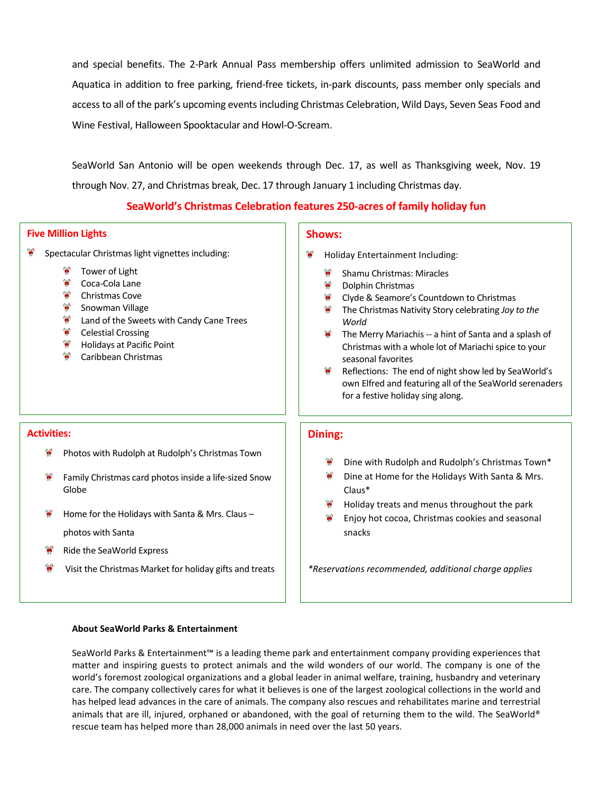and special benefits. The 2-Park Annual Pass membership offers unlimited admission to SeaWorld and Aquatica in addition to free parking, friend-free tickets, in-park discounts, pass member only specials and access to all of the park's upcoming events including Christmas Celebration, Wild Days, Seven Seas Food and Wine Festival, Halloween Spooktacular and Howl-O-Scream.

SeaWorld San Antonio will be open weekends through Dec. 17, as well as Thanksgiving week, Nov. 19 through Nov. 27, and Christmas break, Dec. 17 through January 1 including Christmas day.

## **SeaWorld's Christmas Celebration features 250-acres of family holiday fun**

#### **Five Million Lights**

**Activities:** 

**RA** 

e e

Globe

photos with Santa

Ride the SeaWorld Express

- W Spectacular Christmas light vignettes including:
	- Tower of Light
	- ₩ Coca-Cola Lane
	- ₩. Christmas Cove
	- W. Snowman Village
	- ₩. Land of the Sweets with Candy Cane Trees

Photos with Rudolph at Rudolph's Christmas Town

Home for the Holidays with Santa & Mrs. Claus –

Family Christmas card photos inside a life-sized Snow

Visit the Christmas Market for holiday gifts and treats

- ❤ Celestial Crossing
- Holidays at Pacific Point
- Caribbean Christmas

#### **Shows:**

- Holiday Entertainment Including:
	- Shamu Christmas: Miracles
	- 22 Dolphin Christmas
	- Clyde & Seamore's Countdown to Christmas
	- 22 The Christmas Nativity Story celebrating *Joy to the World*
	- $\mathbf{r}$ The Merry Mariachis -- a hint of Santa and a splash of Christmas with a whole lot of Mariachi spice to your seasonal favorites
	- Reflections: The end of night show led by SeaWorld's own Elfred and featuring all of the SeaWorld serenaders for a festive holiday sing along.

## **Dining:**

- Dine with Rudolph and Rudolph's Christmas Town\*
- Dine at Home for the Holidays With Santa & Mrs. Claus\*
- Holiday treats and menus throughout the park
- Enjoy hot cocoa, Christmas cookies and seasonal snacks

*\*Reservations recommended, additional charge applies*

#### **About SeaWorld Parks & Entertainment**

SeaWorld Parks & Entertainment™ is a leading theme park and entertainment company providing experiences that matter and inspiring guests to protect animals and the wild wonders of our world. The company is one of the world's foremost zoological organizations and a global leader in animal welfare, training, husbandry and veterinary care. The company collectively cares for what it believes is one of the largest zoological collections in the world and has helped lead advances in the care of animals. The company also rescues and rehabilitates marine and terrestrial animals that are ill, injured, orphaned or abandoned, with the goal of returning them to the wild. The SeaWorld® rescue team has helped more than 28,000 animals in need over the last 50 years.